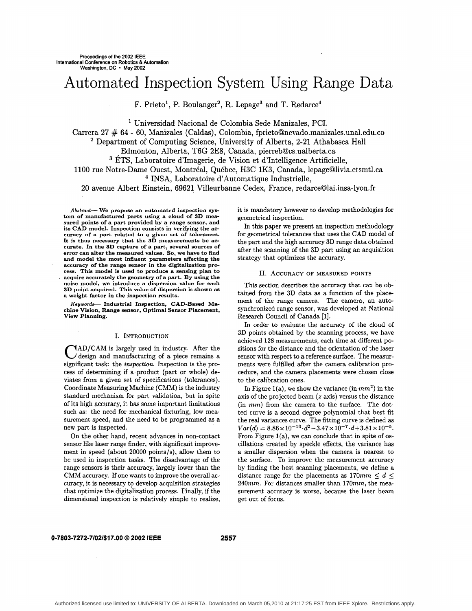# Automated Inspection System Using Range Data

F. Prieto<sup>1</sup>, P. Boulanger<sup>2</sup>, R. Lepage<sup>3</sup> and T. Redarce<sup>4</sup>

' Universidad Nacional de Colombia Sede Manizales, PCI.

Carrera 27 # 64 - 60, Manizales (Caldas), Colombia, **fprieto@nevado.manizales.unal.edu.co** 

<sup>2</sup> Department of Computing Science, University of Alberta, 2-21 Athabasca Hall Edmonton, Alberta, T6G 2E8, Canada, pierreb@cs.ualberta.ca

ETS, Laboratoire d'Imagerie, de Vision et d'Intelligence Artificielle,

1100 rue Notre-Dame Ouest, Montréal, Québec, H3C 1K3, Canada, lepage@livia.etsmtl.ca

INSA, Laboratoire d' Automatique Industrielle,

20 avenue Albert Einstein, 69621 Villeurbanne Cedex, France, redarce@lai.insa-lyon.fr

*Abstmct-* **We propose an automated inspection system of manufactured parts using a cloud of SD measured points of a part provided by a range sensor, and its CAD model. Inspection consists in verifying the accuracy of a part related to a given set of tolerances. It is thus necessary that the SD measurements be accurate. In the SD capture of a part, several sources of error can alter the measured values. So, we have to And and model the most influent parameters affecting the accuracy of the range sensor in the digitalization process. This model is used to produce a sensing plan to acquire accurately the geometry of a part. By using the noise model, we introduce a dispersion value for each SD point acquired. This value of dispersion is shown as a weight factor in the inspection results.** 

*Kegwords-* **Industrial Inspection, CAD-Based Machine Vision, Range sensor, Optimal Sensor Placement, View Planning.** 

#### I. INTRODUCTION

 $\text{NAD/CAM}$  is largely used in industry. After the  $\angle$  design and manufacturing of a piece remains a significant task: the *inspection.* Inspection is the process of determining if a.product (part or whole) deviates from a given set of specifications (tolerances). Coordinate Measuring Machine (CMM) is the industry standard mechanism for part validation, but in spite of its high accuracy, it has some important limitations such **as:** the need for mechanical fixturing, low measurement speed, and the need to be programmed **as** a new part is inspected.

On the other hand, recent advances in non-contact sensor like laser range finder, with significant improvement in speed (about 20000 points/s), allow them to be used in inspection tasks. The disadvantage of the range sensors is their accuracy, largely lower than the CMM accuracy. If one wants to improve the overall accuracy, it is necessary to develop acquisition strategies that optimize the digitalization process. Finally, if the dimensional inspection is relatively simple to realize,

it is mandatory however to develop methodologies for geometrical inspection.

In this paper we present an inspection methodology for geometrical tolerances that uses the CAD model of the part and the high accuracy 3D range data obtained after the scanning of the **3D** part using an acquisition strategy that optimizes the accuracy.

### **11.** ACCURACY OF MEASURED POINTS

This section describes the accuracy that can be obtained from the 3D data **as** a function of the placement of the range camera. The camera, an autosynchronized range sensor, was developed at National Research Council of Canada [1].

In order to evaluate the accuracy of the cloud of 3D points obtained by the scanning process, we have achieved **128** measurements, each time at different **po**sitions for the distance and the orientation of the laser sensor with respect to a reference surface. The measurments were fulfilled after the camera calibration procedure, and the camera placements were chosen close to the calibration ones.

In Figure l(a), we show the variance (in *mm2)* in the axis of the projected beam *(z* axis) versus the distance (in *mm)* from the camera to the surface. The dotted curve is a second degree polynomial that best fit the real variances curve. The fitting curve is defined as  $Var(d) = 8.86 \times 10^{-10} \cdot d^2 - 3.47 \times 10^{-7} \cdot d + 3.81 \times 10^{-5}$ . From Figure  $1(a)$ , we can conclude that in spite of oscillations created by speckle effects, the variance **has**  a smaller dispersion when the camera is nearest to the surface. To improve the measurement accuracy by finding the best scanning placements, we define a distance range for the placements as  $170mm \leq d \leq$ *240mm.* For distances smaller than 170mm, the measurement accuracy is worse, because the laser beam get out of focus.

# **0-7803-7272-7/02/\$17.00** *0* **2002 IEEE 2557**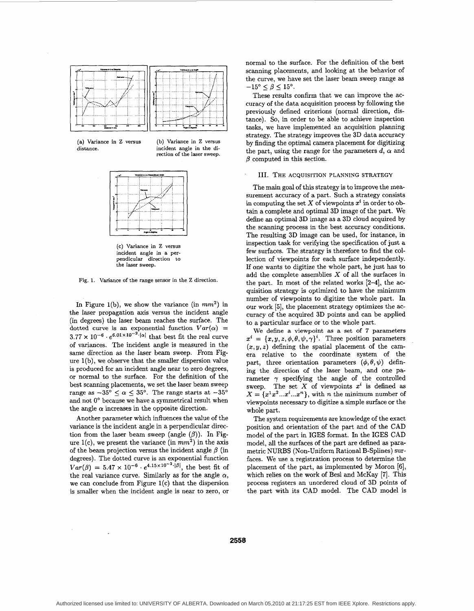



**(b) Variance in Z versus incident angle in the direction of the laser sweep.** 



**(c) Variance in Z versus incident angle in a perpendicular direction to the laser sweep.** 

**Fig. 1. Variance of the range sensor in the Z direction.** 

In Figure l(b), we show the variance (in *mm2)* in the laser propagation axis versus the incident angle (in degrees) the laser beam reaches the surface. The dotted curve is an exponential function  $Var(\alpha)$  =  $3.77 \times 10^{-6} \cdot e^{6.01 \times 10^{-2}}$  (a) that best fit the real curve of variances. The incident angle is measured in the same direction as the laser beam sweep. From Figure  $1(b)$ , we observe that the smaller dispersion value is produced for an incident angle near to zero degrees, or normal to the surface. For the definition of the best scanning placements, we set the laser beam sweep range as  $-35^{\circ} \le \alpha \le 35^{\circ}$ . The range starts at  $-35^{\circ}$ and not  $0^{\circ}$  because we have a symmetrical result when the angle  $\alpha$  increases in the opposite direction.

Another parameter which influences the value of the variance is the incident angle in a perpendicular direction from the laser beam sweep (angle  $(\beta)$ ). In Figure  $1(c)$ , we present the variance (in  $mm^2$ ) in the axis of the beam projection versus the incident angle  $\beta$  (in degrees). The dotted curve is an exponential function  $Var(\beta) = 5.47 \times 10^{-6} \cdot e^{4.15 \times 10^{-2} \cdot |\beta|}$ , the best fit of the real variance curve. Similarly as for the angle  $\alpha$ , we can conclude from Figure l(c) that the dispersion is smaller when the incident angle is near to zero, or

normal to the surface. For the definition of the best scanning placements, and looking at the behavior of the curve, we have set the laser beam sweep range as  $-15^{\circ} \leq \beta \leq 15^{\circ}$ .

These results confirm that we can improve the accuracy of the data acquisition process by following the previously defined criterions (normal direction, distance). So, in order to be able to achieve inspection tasks, we have implemented an acquisition planning strategy. The strategy improves the **3D** data accuracy by finding the optimal camera placement for digitizing the part, using the range for the parameters  $d$ ,  $\alpha$  and  $\beta$  computed in this section.

#### 111. **THE ACQUISITION** PLANNING **STRATEGY**

The main goal of this strategy is to improve the measurement accuracy of a part. Such a strategy consists in computing the set  $X$  of viewpoints  $x^i$  in order to obtain a complete and optimal **3D** image of the part. We define **an** optimal **3D** image as a **3D** cloud acquired by the scanning process in the best accuracy conditions. The resulting **3D** image can be used, for instance, in inspection task for verifying the specification of just **a**  few surfaces. The strategy is therefore to find the collection of viewpoints for each surface independently. If one wants to digitize the whole part, he just **has** to add the complete assemblies *X* of all the surfaces in the part. In most of the related works  $[2-4]$ , the acquisition strategy is optimized to have the minimum number of viewpoints to digitize the whole part. In our work **[5],** the placement strategy optimizes the accuracy of the acquired **3D** points and can be applied to a particular surface or to the whole part.

We define a viewpoint as a set of 7 parameters  $x^i = \{x, y, z, \phi, \theta, \psi, \gamma\}^i$ . Three position parameters  $(x,y,z)$  defining the spatial placement of the camera relative to the coordinate system of the part, three orientation parameters  $(\phi, \theta, \psi)$  defining the direction of the laser beam, and one parameter  $\gamma$  specifying the angle of the controlled sweep. The set  $X$  of viewpoints  $x^i$  is defined as  $X = \{x^1x^2...x^i...x^n\}$ , with *n* the minimum number of viewpoints necessary to digitize a simple surface or the whole part.

The system requirements are knowledge of the exact position and orientation of the part and of the **CAD**  model of the part in IGES format. In the **IGES CAD**  model, all the surfaces of the part are defined **as** parametric NURBS (Non-Uniform Rational B-Splines) surfaces. We use a registration process to determine the placement of the part, **as** implemented by Moron *[6],*  which relies on the work of Besl and McKay **[7].** This process registers an unordered cloud of **3D** points of the part with its **CAD** model. The **CAD** model is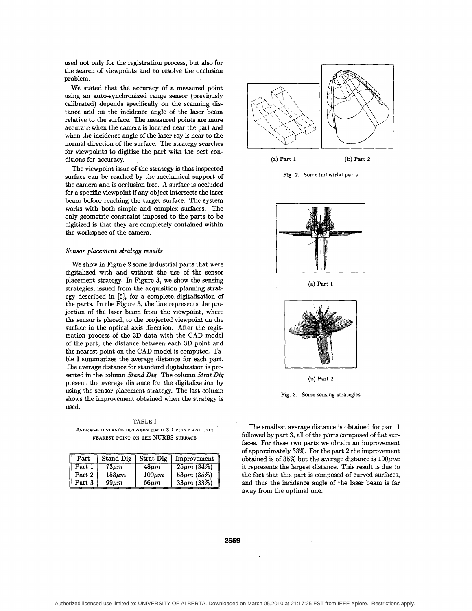used not only for the registration process, but also for the search of viewpoints and to resolve the occlusion problem.

We stated that the accuracy of a measured point using an auto-synchronized range sensor (previously calibrated) depends specifically on the scanning distance and on the incidence angle of the laser beam relative to the surface. The measured points are more accurate when the camera is located near the **part** and when the incidence angle of the laser ray is near to the normal direction of the surface. The strategy searches for viewpoints to digitize the part with the best conditions for accuracy.

The viewpoint issue of the strategy is that inspected surface can be reached by the mechanical support of the camera and is occlusion free. A surface is occluded for a specific viewpoint if any object intersects the laser beam before reaching the target surface. The system works with both simple and complex surfaces. The only geometric constraint imposed to the parts to be digitized is that they are completely contained within the workspace of the camera.

## *Sensor placement strategy results*

We show in Figure **2** some industrial parts that were digitalized with and without the use of the sensor placement strategy. In Figure **3,** we show the sensing strategies, issued from the acquisition planning strategy described in **[5],** for a complete digitalization of the parts. In the Figure **3,** the line represents the projection of the laser beam from the viewpoint, where the sensor is placed, to the projected viewpoint on the surface in the optical axis direction. After the registration process of the **3D** data with the **CAD** model of the part, the distance between each **3D** point and the nearest point on the CAD model is computed. Table I summarizes the average distance for each part. The average distance for standard digitalization is presented in the column *Stand Dig.* The column *Stmt Dig*  present the average distance for the digitalization by using the sensor placement strategy. The last column shows the improvement obtained when the strategy is used.

**TABLE** I **AVERAGE DISTANCE BETWEEN EACH 3D POINT AND THE NEAREST POINT ON THE** NURBS **SURFACE** 

| Part   | Stand Dig   | Strat Dig   | Improvement      |
|--------|-------------|-------------|------------------|
| Part 1 | $73\mu m$   | $48 \mu m$  | $25\mu m (34\%)$ |
| Part 2 | $153 \mu m$ | $100 \mu m$ | $53\mu m (35\%)$ |
| Part 3 | 99 $\mu m$  | $66\mu m$   | $33\mu m (33\%)$ |



**Fig. 2. Some industrial parts** 



**(a) Part 1** 



**(b) Part 2** 

**Fig. 3. Some sensing strategies** 

The smallest average distance is obtained for part **1**  followed by part **3,** all of the parts composed of flat surfaces. For these two parts we obtain **an** improvement of approximately **33%.** For the part **2** the improvement obtained is of  $35\%$  but the average distance is  $100 \mu m$ . it represents the largest distance. This result is due to the fact that this part is composed of curved surfaces, and thus the incidence angle of the laser beam is far away from the optimal one.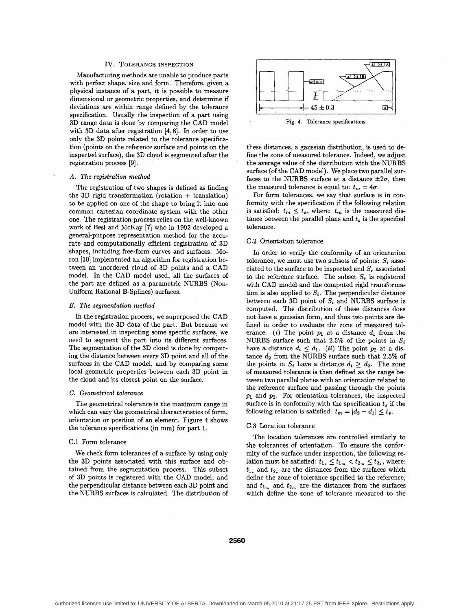# **IV.** TOLERANCE INSPECTION

<span id="page-3-0"></span>Manufacturing methods are unable to produce parts with perfect shape, size and form. Therefore, given a physical instance of a part, it is possible to measure dimensional or geometric properties, and determine if deviations are within range defined by the tolerance specification. Usually the inspection of a part using **3D** range data is done by comparing the **CAD** model with **3D** data after registration **[4,8].** In order to use only the **3D** points related to the tolerance specification (points on the reference surface and points on the inspected surface), the **3D** cloud is segmented after the registration process **[9].** 

### *A. The registration method*

The registration of two shapes is defined as finding the  $3D$  rigid transformation (rotation + translation) to be applied on one of the shape to bring it into one common Cartesian coordinate system with the other one. The registration process relies on the well-known work of Besl and McKay [7] who in **1992** developed a general-purpose representation method for the accurate and computationally efficient registration of **3D**  shapes, including free-form curves and surfaces. **Mo**ron [lo] implemented **an** algorithm for registration between an unordered cloud of **3D** points and a **CAD**  model. In the **CAD** model used, all the surfaces of the part are defined as a parametric NURBS (Non-Uniform Rational B-Splines) surfaces.

## *B. The segmentation method*

In the registration process, we superposed the **CAD**  model with the **3D** data of the part. But because we are interested in inspecting some specific surfaces, we need to segment the part into its different surfaces. The segmentation of the **3D** cloud is done by computing the distance between every **3D** point and all of the surfaces in the **CAD** model, and by comparing some local geometric properties between each **3D** point in the cloud and its closest point on the surface.

# *C. Geometrical tolerance*

The geometrical tolerance is the maximum range in which can vary the geometrical characteristics of form, orientation or position of an element. Figure **4** shows the tolerance specifications (in mm) for part **1.** 

## C.l Form tolerance

We check form tolerances of a surface by using only the **3D** points associated with this surface and obtained from the segmentation process. This subset of **3D** points is registered with the **CAD** model, and the perpendicular distance between each **3D** point and the NURBS surfaces is calculated. The distribution of



**Fig. 4. Tolerance specifications** 

these distances, a gaussian distribution, is used to define the zone of measured tolerance. Indeed, we adjust the average value of the distribution with the NURBS surface (of the **CAD** model). We place two parallel surfaces to the NURBS surface at a distance  $\pm 2\sigma$ , then the measured tolerance is equal to:  $t_m = 4\sigma$ .

For form tolerances, we say that surface is in conformity with the specification if the following relation is satisfied:  $t_m \leq t_s$ , where:  $t_m$  is the measured distance between the parallel plans and  $t_s$  is the specified tolerance.

## **C.2** Orientation tolerance

In order to verify the conformity of an orientation tolerance, we must use two subsets of points:  $S_i$  associated to the surface to be inspected and  $S_r$  associated to the reference surface. The subset  $S_r$  is registered with **CAD** model and the computed rigid transformation is also applied to  $S_i$ . The perpendicular distance between each 3D point of  $S_i$  and NURBS surface is computed. The distribution of these distances does not have a gaussian form, and thus two points are defined in order to evaluate the zone of measured tolerance. *(i)* The point  $p_1$  at a distance  $d_1$  from the NURBS surface such that 2.5% of the points in  $S_i$ have a distance  $d_i \leq d_1$ . *(ii)* The point  $p_2$  at a distance *d2* from the NURBS surface such that **2.5%** of the points in  $S_i$  have a distance  $d_i \geq d_2$ . The zone of measured tolerance is then defined **as** the range between two parallel planes with an orientation related to the reference surface and passing through the points *p1* and *p2.* For orientation tolerances, the inspected surface is in conformity with the specification  $t_s$  if the following relation is satisfied:  $t_m = |d_2 - d_1| \leq t_s$ .

## **C.3** Location tolerance

The location tolerances are controlled similarly to the tolerances of orientation. To ensure the conformity of the surface under inspection, the following relation must be satisfied:  $t_{1} \leq t_{1} \leq t_{2} \leq t_{2}$ , where:  $t_1$ , and  $t_2$ , are the distances from the surfaces which define the zone of tolerance specified to the reference, and  $t_{1_m}$  and  $t_{2_m}$  are the distances from the surfaces which define the zone of tolerance measured to the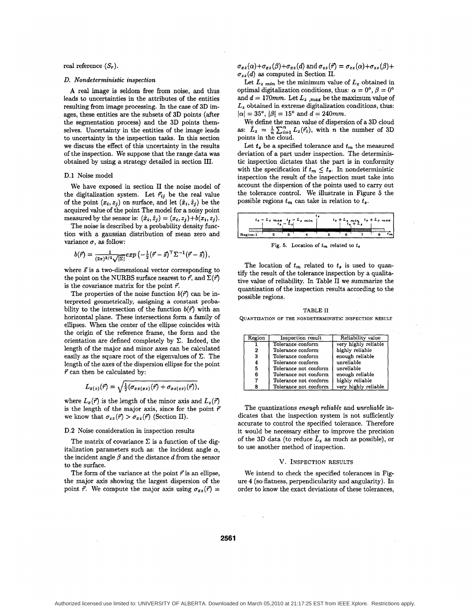#### real reference  $(S_r)$ .

#### *D.* Nondeterministic inspection

**A** real image is seldom free from noise, and thus leads to uncertainties in the attributes of the entities resulting from image processing. In the case of **3D** images, these entities are the subsets of **3D** points (after the segmentation process) and the **3D** points themselves. Uncertainty in the entities of the image leads to uncertainty in the inspection tasks. In this section we discuss the effect of this uncertainty in the results of the inspection. We suppose that the range data was obtained by using a strategy detailed in section 111.

#### **D.l** Noise model

We have exposed in section I1 the noise model of the digitalization system. Let  $\vec{r}_{ij}$  be the real value of the point  $(x_i, z_j)$  on surface, and let  $(\hat{x}_i, \hat{z}_j)$  be the acquired value of the point The model for a noisy point measured by the sensor is:  $(\hat{x}_i, \hat{z}_j) = (x_i, z_j) + b(x_i, z_j)$ .

The noise is described by a probability density function with a gaussian distribution of mean zero and variance  $\sigma$ , as follow:

$$
b(\vec{r}) = \frac{1}{(2\pi)^{3/2}\sqrt{|\Sigma|}} exp\left(-\frac{1}{2}(\vec{r} - \vec{s})^{\top} \Sigma^{-1}(\vec{r} - \vec{s})\right),
$$

where  $\vec{s}$  is a two-dimensional vector corresponding to the point on the NURBS surface nearest to  $\vec{r}$ , and  $\Sigma(\vec{r})$ is the covariance matrix for the point  $\vec{r}$ .

The properties of the noise function  $b(\vec{r})$  can be interpreted geometrically, assigning a constant probability to the intersection of the function  $b(\vec{r})$  with an horizontal plane. These intersections form a family of ellipses. When the center of the ellipse coincides with the origin of the reference frame, the form and the orientation are defined completely by  $\Sigma$ . Indeed, the length of the major and minor axes can be calculated easily as the square root of the eigenvalues of  $\Sigma$ . The length of the axes of the dispersion ellipse for the point *r'* can then be calculated by:

$$
L_{x(z)}(\vec{r})=\sqrt{\frac{1}{2}(\sigma_{xx(xz)}(\vec{r})+\sigma_{xz(zz)}(\vec{r})),}
$$

where  $L_x(\vec{r})$  is the length of the minor axis and  $L_z(\vec{r})$ is the length of the major axis, since for the point  $\bar{r}$ we know that  $\sigma_{zz}(\vec{r}) > \sigma_{xz}(\vec{r})$  (Section II).

# **D.2** Noise consideration in inspection results

The matrix of covariance  $\Sigma$  is a function of the digitalization parameters such as: the incident angle  $\alpha$ , the incident angle  $\beta$  and the distance  $d$  from the sensor to the surface.

The form of the variance at the point  $\vec{r}$  is an ellipse, the major axis showing the largest dispersion of the point  $\vec{r}$ . We compute the major axis using  $\sigma_{xz}(\vec{r}) =$   $\sigma_{xz}(\alpha)+\sigma_{xz}(\beta)+\sigma_{xz}(d)$  and  $\sigma_{zz}(\vec{r})=\sigma_{zz}(\alpha)+\sigma_{zz}(\beta)+$  $\sigma_{zz}(d)$  as computed in Section II.

Let  $L_z$   $_{min}$  be the minimum value of  $L_z$  obtained in optimal digitalization conditions, thus:  $\alpha = 0^{\circ}$ ,  $\beta = 0^{\circ}$ and  $d = 170$ mm. Let  $L_z$ ,  $_{max}$  be the maximum value of  $L_z$  obtained in extreme digitalization conditions, thus:  $|\alpha| = 35^{\circ}, |\beta| = 15^{\circ}$  and  $d = 240$ mm.

We define the mean value of dispersion of a **3D** cloud as:  $\bar{L}_z = \frac{1}{n} \sum_{i=1}^n L_z(\vec{r}_i)$ , with *n* the number of 3D points in the cloud.

Let  $t_s$  be a specified tolerance and  $t_m$  the measured deviation of a part under inspection. The deterministic inspection dictates that the part is in conformity with the specification if  $t_m \leq t_s$ . In nondeterministic inspection the result of the inspection must take into account the dispersion of the points used to carry out the tolerance control. We illustrate in Figure **5** the possible regions  $t_m$  can take in relation to  $t_s$ .

|           | $t_4 - L_2$ mas $t_4 - L_2$ min<br>$t_6 - L_2$ |  |  | $t_a + L_z$ min $t_a + L_z$ mas |  |
|-----------|------------------------------------------------|--|--|---------------------------------|--|
| Region: 1 |                                                |  |  |                                 |  |

**Fig. 5. Location of** *tm* **related to** *ts* 

The location of  $t_m$  related to  $t_s$  is used to quantify the result of the tolerance inspection by a qualitative value of reliability. In Table I1 we summarize the quantization of the inspection results according to the possible regions.

**T.4BLE I1** 

**QUANTIZATION OF THE NONDETERMINISTIC INSPECTION RESULT** 

| Region | Inspection result     | Reliability value    |
|--------|-----------------------|----------------------|
|        | Tolerance conform     | very highly reliable |
| 2      | Tolerance conform     | highly reliable      |
| 3      | Tolerance conform     | enough reliable      |
| 4      | Tolerance conform     | unreliable           |
| 5      | Tolerance not conform | unreliable           |
| 6      | Tolerance not conform | enough reliable      |
|        | Tolerance not conform | highly reliable      |
|        | Tolerance not conform | very highly reliable |

The quantizations enough reliable and unreliable indicates that the inspection system is not sufficiently accurate to control the specified tolerance. Therefore it would be necessary either to improve the precision of the 3D data (to reduce  $\bar{L}_z$  as much as possible), or to use another method of inspection.

### v. INSPECTION **RESULTS**

We intend to check the specified tolerances in Fig[ure](#page-3-0) **4** (so flatness, perpendicularity and angularity). In order to know the exact deviations of these tolerances,